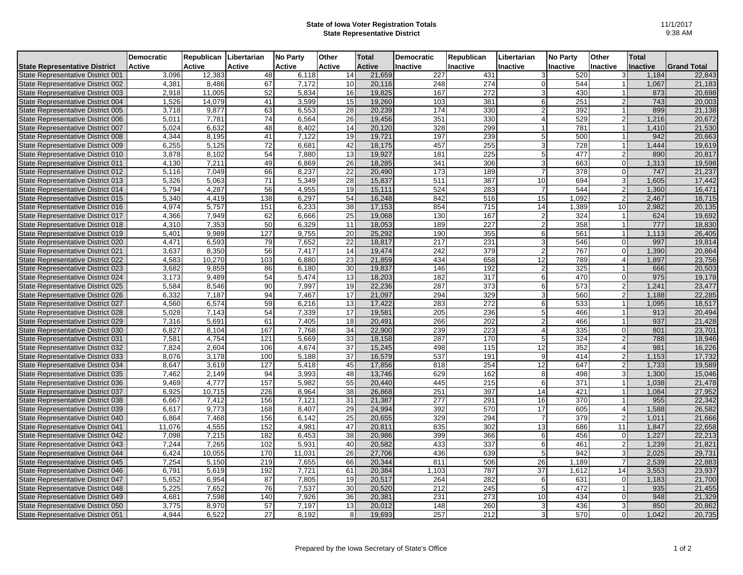## **State of Iowa Voter Registration Totals State Representative District**

|                                      | <b>Democratic</b> | Republican Libertarian |                  | <b>No Party</b> | Other  | <b>Total</b>  | <b>Democratic</b> | Republican       | Libertarian    | <b>No Party</b> | Other          | <b>Total</b> |                    |
|--------------------------------------|-------------------|------------------------|------------------|-----------------|--------|---------------|-------------------|------------------|----------------|-----------------|----------------|--------------|--------------------|
| <b>State Representative District</b> | Active            | Active                 | <b>Active</b>    | Active          | Active | <b>Active</b> | Inactive          | Inactive         | Inactive       | Inactive        | Inactive       | Inactive     | <b>Grand Total</b> |
| State Representative District 001    | 3,096             | 12,383                 | 48               | 6,118           | 14     | 21,659        | 227               | 431              | 3              | 520             | 3              | 1,184        | 22,843             |
| State Representative District 002    | 4,381             | 8,486                  | 67               | 7,172           | 10     | 20,116        | 248               | 274              | $\Omega$       | 544             |                | 1,067        | 21,183             |
| State Representative District 003    | 2,918             | 11,005                 | 52               | 5,834           | 16     | 19,825        | 167               | 272              | 3              | 430             |                | 873          | 20,698             |
| State Representative District 004    | 1,526             | 14,079                 | 41               | 3,599           | 15     | 19,260        | 103               | 381              | 6              | 251             |                | 743          | 20,003             |
| State Representative District 005    | 3,718             | 9,877                  | 63               | 6,553           | 28     | 20,239        | 174               | 330              | $\overline{2}$ | 392             |                | 899          | 21,138             |
| State Representative District 006    | 5,011             | 7,781                  | 74               | 6,564           | 26     | 19,456        | 351               | 330              |                | 529             | $\mathcal{P}$  | 1,216        | 20,672             |
| State Representative District 007    | 5,024             | 6,632                  | 48               | 8.402           | 14     | 20,120        | 328               | 299              | 1              | 781             |                | 1,410        | 21,530             |
| State Representative District 008    | 4,344             | 8,195                  | 41               | 7,122           | 19     | 19,721        | 197               | 239              | 5              | 500             |                | 942          | 20,663             |
| State Representative District 009    | 6,255             | 5,125                  | 72               | 6,681           | 42     | 18,175        | 457               | 255              | 3              | 728             |                | 1,444        | 19,619             |
| State Representative District 010    | 3,878             | 8,102                  | 54               | 7,880           | 13     | 19,927        | 181               | 225              | 5              | 477             | $\mathcal{P}$  | 890          | 20,817             |
| State Representative District 011    | 4,130             | 7,211                  | 49               | 6,869           | 26     | 18,285        | 341               | 306              | 3              | 663             | $\Omega$       | 1,313        | 19,598             |
| State Representative District 012    | 5,116             | 7,049                  | 66               | 8,237           | 22     | 20,490        | 173               | 189              |                | 378             | $\Omega$       | 747          | 21,237             |
| State Representative District 013    | 5,326             | 5,063                  | 71               | 5,349           | 28     | 15,837        | 511               | 387              | 10             | 694             | 3              | 1,605        | 17,442             |
| State Representative District 014    | 5,794             | 4,287                  | 56               | 4,955           | 19     | 15,111        | 524               | 283              |                | 544             |                | 1,360        | 16,471             |
| State Representative District 015    | 5,340             | 4,419                  | 138              | 6,297           | 54     | 16,248        | 842               | 516              | 15             | 1,092           | $\overline{2}$ | 2,467        | 18,715             |
| State Representative District 016    | 4,974             | 5,757                  | 151              | 6,233           | 38     | 17,153        | 854               | 715              | 14             | 1,389           | 10             | 2,982        | 20,135             |
| State Representative District 017    | 4,366             | 7,949                  | 62               | 6,666           | 25     | 19,068        | 130               | 167              | 2              | 324             |                | 624          | 19,692             |
| State Representative District 018    | 4,310             | 7,353                  | 50               | 6,329           | 11     | 18,053        | 189               | 227              | $\overline{2}$ | 358             |                | 777          | 18,830             |
| State Representative District 019    | 5,401             | 9,989                  | $\overline{127}$ | 9,755           | 20     | 25,292        | 190               | 355              | 6              | 561             |                | 1,113        | 26,405             |
| State Representative District 020    | 4,471             | 6,593                  | 79               | 7,652           | 22     | 18,817        | 217               | 231              | 3              | 546             |                | 997          | 19,814             |
| State Representative District 021    | 3,637             | 8,350                  | 56               | 7,417           | 14     | 19,474        | 242               | $\overline{379}$ | 2              | 767             | $\Omega$       | 1,390        | 20,864             |
| State Representative District 022    | 4,583             | 10,270                 | 103              | 6,880           | 23     | 21,859        | 434               | 658              | 12             | 789             | $\overline{4}$ | 1,897        | 23,756             |
| State Representative District 023    | 3,682             | 9,859                  | 86               | 6,180           | 30     | 19,837        | 146               | 192              | $\overline{2}$ | 325             |                | 666          | 20,503             |
| State Representative District 024    | 3,173             | 9,489                  | 54               | 5,474           | 13     | 18,203        | 182               | 317              | 6              | 470             | $\Omega$       | 975          | 19,178             |
| State Representative District 025    | 5,584             | 8.546                  | 90               | 7,997           | 19     | 22,236        | 287               | 373              | 6              | 573             | $\overline{2}$ | 1.241        | 23,477             |
| State Representative District 026    | 6,332             | 7,187                  | 94               | 7,467           | 17     | 21,097        | 294               | 329              | 3              | 560             | $\overline{2}$ | 1,188        | 22,285             |
| State Representative District 027    | 4,560             | 6,574                  | 59               | 6,216           | 13     | 17,422        | 283               | 272              | 6              | 533             |                | 1,095        | 18,517             |
| State Representative District 028    | 5,028             | 7,143                  | 54               | 7,339           | 17     | 19,581        | 205               | 236              | 5              | 466             |                | 913          | 20,494             |
| State Representative District 029    | 7,316             | 5,691                  | 61               | 7,405           | 18     | 20,491        | 266               | 202              |                | 466             |                | 937          | 21,428             |
| State Representative District 030    | 6,827             | 8,104                  | 167              | 7,768           | 34     | 22,900        | 239               | 223              |                | 335             |                | 801          | 23,701             |
| State Representative District 031    | 7,581             | 4.754                  | 121              | 5.669           | 33     | 18,158        | 287               | 170              | 5              | 324             | $\mathcal{P}$  | 788          | 18,946             |
| State Representative District 032    | 7,824             | 2,604                  | 106              | 4,674           | 37     | 15,245        | 498               | 115              | 12             | 352             | $\overline{4}$ | 981          | 16,226             |
| State Representative District 033    | 8.076             | 3,178                  | 100              | 5,188           | 37     | 16,579        | 537               | 191              | 9              | 414             | $\overline{2}$ | 1,153        | 17,732             |
| State Representative District 034    | 8,647             | 3,619                  | 127              | 5,418           | 45     | 17,856        | 818               | 254              | 12             | 647             |                | 1,733        | 19,589             |
| State Representative District 035    | 7,462             | 2,149                  | 94               | 3,993           | 48     | 13,746        | 629               | 162              | 8              | 498             |                | 1,300        | 15,046             |
| State Representative District 036    | 9,469             | 4.777                  | 157              | 5,982           | 55     | 20,440        | 445               | 215              | 6              | 371             |                | 1,038        | 21,478             |
| State Representative District 037    | 6,925             | 10,715                 | 226              | 8,964           | 38     | 26,868        | 251               | 397              | 14             | 421             |                | 1,084        | 27,952             |
| State Representative District 038    | 6,667             | 7,412                  | 156              | 7,121           | 31     | 21,387        | 277               | 291              | 16             | 370             |                | 955          | 22,342             |
| State Representative District 039    | 6,617             | 9.773                  | 168              | 8.407           | 29     | 24,994        | 392               | 570              | 17             | 605             | $\Delta$       | 1,588        | 26,582             |
| State Representative District 040    | 6,864             | 7,468                  | 156              | 6,142           | 25     | 20,655        | 329               | 294              | $\overline{7}$ | 379             |                | 1,011        | 21,666             |
| State Representative District 041    | 11,076            | 4,555                  | 152              | 4,981           | 47     | 20,811        | 835               | 302              | 13             | 686             | 11             | 1,847        | 22,658             |
| State Representative District 042    | 7,098             | 7,215                  | 182              | 6,453           | 38     | 20,986        | 399               | 366              | 6              | 456             | $\Omega$       | 1,227        | 22,213             |
| State Representative District 043    | 7,244             | 7,265                  | 102              | 5,931           | 40     | 20,582        | 433               | 337              | 6              | 461             | $\overline{2}$ | 1,239        | 21,821             |
| State Representative District 044    | 6,424             | 10,055                 | 170              | 11,031          | 26     | 27,706        | 436               | 639              | 5              | 942             | 3              | 2,025        | 29,731             |
| State Representative District 045    | 7,254             | 5,150                  | 219              | 7,655           | 66     | 20,344        | 811               | 506              | 26             | 1,189           |                | 2,539        | 22,883             |
| State Representative District 046    | 6,791             | 5,619                  | 192              | 7,721           | 61     | 20,384        | 1,103             | 787              | 37             | 1,612           | 14             | 3,553        | 23,937             |
| State Representative District 047    | 5,652             | 6,954                  | 87               | 7,805           | 19     | 20,517        | 264               | 282              | 6              | 631             | $\Omega$       | 1,183        | 21,700             |
| State Representative District 048    | 5,225             | 7,652                  | 76               | 7,537           | 30     | 20,520        | 212               | 245              | 5              | 472             |                | 935          | 21,455             |
| State Representative District 049    | 4,681             | 7,598                  | 140              | 7,926           | 36     | 20,381        | 231               | 273              | 10             | 434             | $\Omega$       | 948          | 21,329             |
| State Representative District 050    | 3,775             | 8,970                  | 57               | 7,197           | 13     | 20,012        | 148               | 260              | 3              | 436             |                | 850          | 20,862             |
| State Representative District 051    | 4,944             | 6,522                  | 27               | 8,192           | 8      | 19,693        | 257               | 212              |                | 570             |                | 1,042        | 20,735             |
|                                      |                   |                        |                  |                 |        |               |                   |                  |                |                 |                |              |                    |